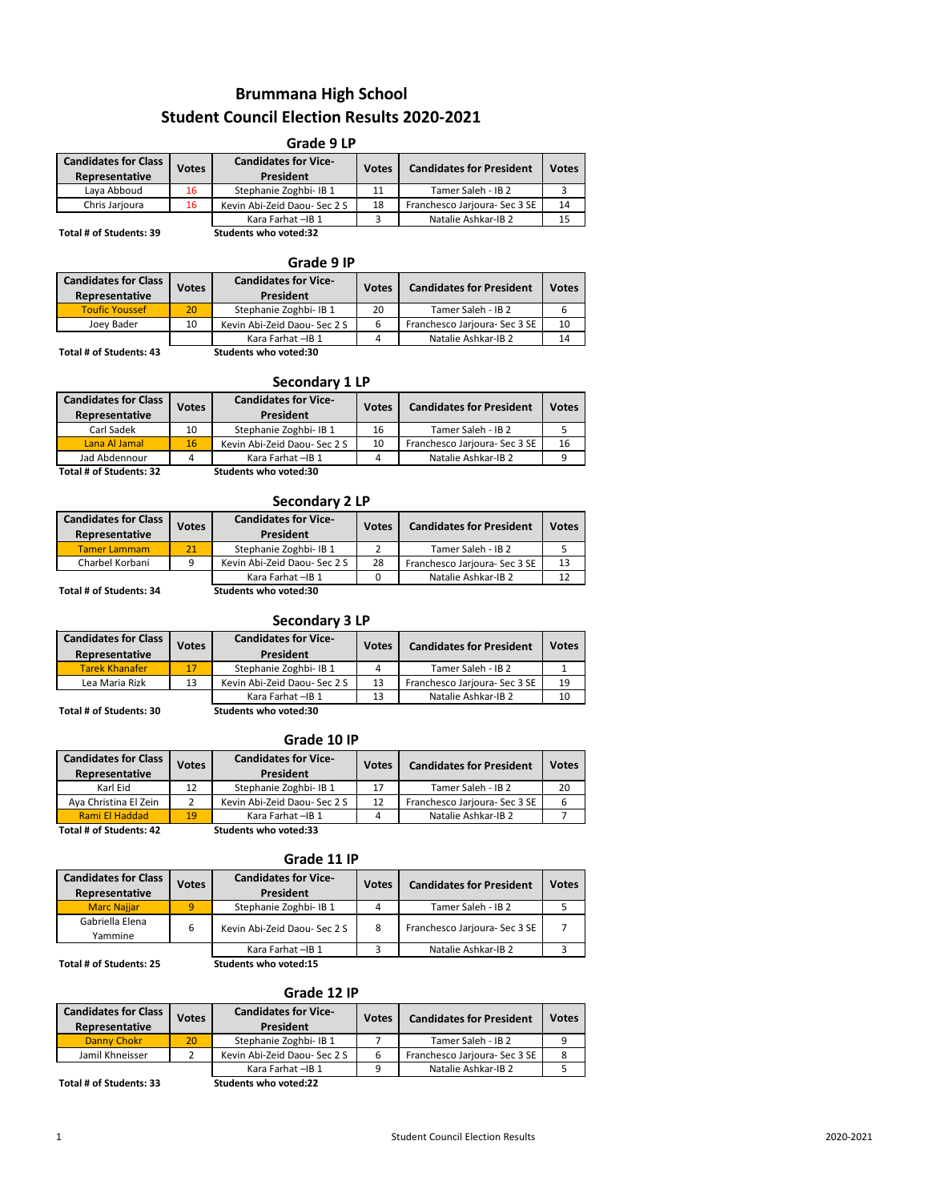# **Brummana High School Student Council Election Results 2020-2021**

| Grade 9 LP                                                    |  |                                          |              |                                 |              |  |  |  |  |  |
|---------------------------------------------------------------|--|------------------------------------------|--------------|---------------------------------|--------------|--|--|--|--|--|
| <b>Candidates for Class</b><br><b>Votes</b><br>Representative |  | <b>Candidates for Vice-</b><br>President | <b>Votes</b> | <b>Candidates for President</b> | <b>Votes</b> |  |  |  |  |  |
| Laya Abboud<br>16                                             |  | Stephanie Zoghbi- IB 1                   | 11           | Tamer Saleh - IB 2              |              |  |  |  |  |  |
| Chris Jarjoura<br>16                                          |  | Kevin Abi-Zeid Daou- Sec 2 S             | 18           | Franchesco Jarjoura- Sec 3 SE   | 14           |  |  |  |  |  |
|                                                               |  | Kara Farhat - IB 1                       | 3            | Natalie Ashkar-IB 2             | 15           |  |  |  |  |  |
| Total # of Students: 39                                       |  | <b>Students who voted:32</b>             |              |                                 |              |  |  |  |  |  |

### **Grade 9 IP**

| <b>Candidates for Class</b><br>Representative | Votes                              | <b>Candidates for Vice-</b><br>President | <b>Votes</b> | <b>Candidates for President</b> | <b>Votes</b> |
|-----------------------------------------------|------------------------------------|------------------------------------------|--------------|---------------------------------|--------------|
| <b>Toufic Youssef</b>                         | 20                                 | Stephanie Zoghbi- IB 1                   | 20           | Tamer Saleh - IB 2              | 6            |
| Joev Bader                                    | Kevin Abi-Zeid Daou- Sec 2 S<br>10 |                                          |              | Franchesco Jarjoura- Sec 3 SE   | 10           |
|                                               |                                    | Kara Farhat - IB 1                       |              | Natalie Ashkar-IB 2             | 14           |
| Total # of Students: 43                       |                                    | Students who voted:30                    |              |                                 |              |

### **Secondary 1 LP**

| <b>Candidates for Class</b><br>Representative | <b>Votes</b> | <b>Candidates for Vice-</b><br>President | <b>Votes</b> | <b>Candidates for President</b> | <b>Votes</b> |
|-----------------------------------------------|--------------|------------------------------------------|--------------|---------------------------------|--------------|
| Carl Sadek                                    | 10           | Stephanie Zoghbi- IB 1                   | 16           | Tamer Saleh - IB 2              |              |
| Lana Al Jamal                                 | 16           | Kevin Abi-Zeid Daou- Sec 2 S             | 10           | Franchesco Jarjoura- Sec 3 SE   | 16           |
| Jad Abdennour                                 |              | Kara Farhat - IB 1                       | 4            | Natalie Ashkar-IB 2             | q            |
| Total # of Students: 32                       |              | Students who voted:30                    |              |                                 |              |

### **Secondary 2 LP**

| <b>Candidates for Class</b><br>Representative | <b>Votes</b> | <b>Candidates for Vice-</b><br>President | <b>Votes</b> | <b>Candidates for President</b> | <b>Votes</b> |
|-----------------------------------------------|--------------|------------------------------------------|--------------|---------------------------------|--------------|
| <b>Tamer Lammam</b>                           | 21           | Stephanie Zoghbi- IB 1                   |              | Tamer Saleh - IB 2              |              |
| Charbel Korbani<br>a                          |              | Kevin Abi-Zeid Daou- Sec 2 S             | 28           | Franchesco Jarjoura- Sec 3 SE   | 13           |
|                                               |              | Kara Farhat - IB 1                       |              | Natalie Ashkar-IB 2             | 12           |
| Total # of Students: 34                       |              | Students who voted:30                    |              |                                 |              |

### **Secondary 3 LP**

| <b>Candidates for Class</b><br>Representative | <b>Votes</b> | <b>Candidates for Vice-</b><br>President | <b>Votes</b> | <b>Candidates for President</b> | <b>Votes</b> |
|-----------------------------------------------|--------------|------------------------------------------|--------------|---------------------------------|--------------|
| <b>Tarek Khanafer</b>                         |              | Stephanie Zoghbi- IB 1                   | Λ            | Tamer Saleh - IB 2              |              |
| Lea Maria Rizk<br>13                          |              | Kevin Abi-Zeid Daou- Sec 2 S             | 13           | Franchesco Jarjoura- Sec 3 SE   | 19           |
|                                               |              | Kara Farhat - IB 1                       | 13           | Natalie Ashkar-IB 2             | 10           |
| Total # of Students: 30                       |              | Students who voted:30                    |              |                                 |              |

### **Grade 10 IP**

| <b>Candidates for Class</b><br>Representative | <b>Votes</b> | <b>Candidates for Vice-</b><br>President | <b>Votes</b> | <b>Candidates for President</b> | <b>Votes</b> |
|-----------------------------------------------|--------------|------------------------------------------|--------------|---------------------------------|--------------|
| Karl Eid                                      | 12           | Stephanie Zoghbi- IB 1                   | 17           | Tamer Saleh - IB 2              | 20           |
| Aya Christina El Zein                         |              | Kevin Abi-Zeid Daou- Sec 2 S             | 12           | Franchesco Jarjoura- Sec 3 SE   | 6            |
| <b>Rami El Haddad</b>                         | 19           | Kara Farhat - IB 1                       | 4            | Natalie Ashkar-IB 2             |              |
| Total # of Students: 42                       |              | <b>Students who voted:33</b>             |              |                                 |              |

**Grade 11 IP**

| <b>Candidates for Class</b><br><b>Votes</b><br>Representative |   | <b>Candidates for Vice-</b><br>President | <b>Votes</b> | <b>Candidates for President</b> | <b>Votes</b> |
|---------------------------------------------------------------|---|------------------------------------------|--------------|---------------------------------|--------------|
| <b>Marc Naijar</b>                                            | 9 | Stephanie Zoghbi- IB 1                   | 4            | Tamer Saleh - IB 2              |              |
| Gabriella Elena<br>6<br>Yammine                               |   | Kevin Abi-Zeid Daou- Sec 2 S             | 8            | Franchesco Jarjoura- Sec 3 SE   |              |
|                                                               |   | Kara Farhat - IB 1                       |              | Natalie Ashkar-IB 2             |              |
| Total # of Students: 25                                       |   | Students who voted:15                    |              |                                 |              |

## **Grade 12 IP**

| <b>Candidates for Class</b><br>Representative | <b>Votes</b> | <b>Candidates for Vice-</b><br>President | <b>Votes</b> | <b>Candidates for President</b> | <b>Votes</b> |
|-----------------------------------------------|--------------|------------------------------------------|--------------|---------------------------------|--------------|
| Danny Chokr                                   | 20           | Stephanie Zoghbi- IB 1                   |              | Tamer Saleh - IB 2              | q            |
| Jamil Khneisser                               |              | Kevin Abi-Zeid Daou- Sec 2 S<br>6        |              | Franchesco Jarjoura- Sec 3 SE   | 8            |
|                                               |              | Kara Farhat - IB 1                       | q            | Natalie Ashkar-IB 2             |              |
| Total # of Students: 33                       |              | Students who voted:22                    |              |                                 |              |